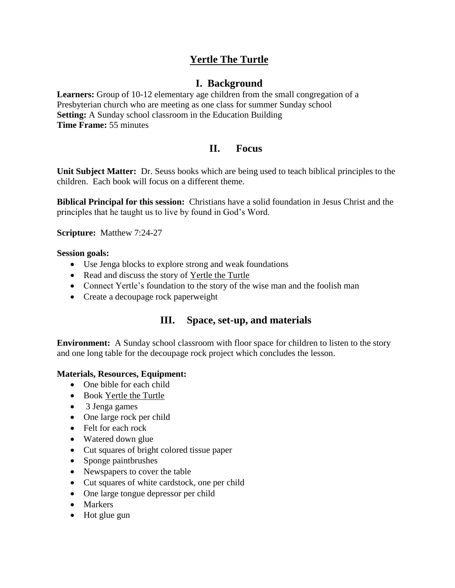# **Yertle The Turtle**

## **I. Background**

**Learners:** Group of 10-12 elementary age children from the small congregation of a Presbyterian church who are meeting as one class for summer Sunday school **Setting:** A Sunday school classroom in the Education Building **Time Frame:** 55 minutes

## **II. Focus**

**Unit Subject Matter:** Dr. Seuss books which are being used to teach biblical principles to the children. Each book will focus on a different theme.

**Biblical Principal for this session:** Christians have a solid foundation in Jesus Christ and the principles that he taught us to live by found in God's Word.

**Scripture:** Matthew 7:24-27

#### **Session goals:**

- Use Jenga blocks to explore strong and weak foundations
- Read and discuss the story of Yertle the Turtle
- Connect Yertle's foundation to the story of the wise man and the foolish man
- Create a decoupage rock paperweight

## **III. Space, set-up, and materials**

**Environment:** A Sunday school classroom with floor space for children to listen to the story and one long table for the decoupage rock project which concludes the lesson.

#### **Materials, Resources, Equipment:**

- One bible for each child
- Book Yertle the Turtle
- 3 Jenga games
- One large rock per child
- Felt for each rock
- Watered down glue
- Cut squares of bright colored tissue paper
- Sponge paintbrushes
- Newspapers to cover the table
- Cut squares of white cardstock, one per child
- One large tongue depressor per child
- Markers
- Hot glue gun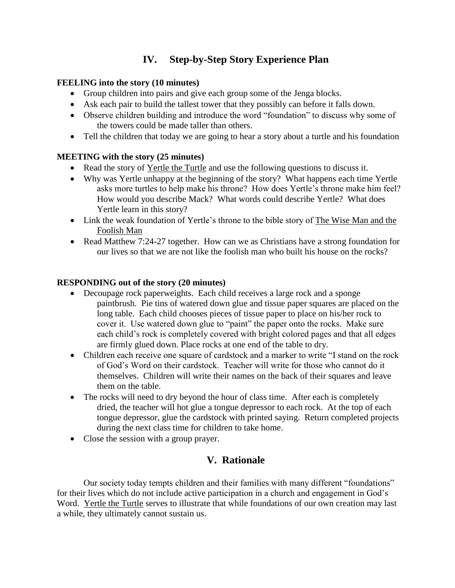# **IV. Step-by-Step Story Experience Plan**

### **FEELING into the story (10 minutes)**

- Group children into pairs and give each group some of the Jenga blocks.
- Ask each pair to build the tallest tower that they possibly can before it falls down.
- Observe children building and introduce the word "foundation" to discuss why some of the towers could be made taller than others.
- Tell the children that today we are going to hear a story about a turtle and his foundation

### **MEETING with the story (25 minutes)**

- Read the story of Yertle the Turtle and use the following questions to discuss it.
- Why was Yertle unhappy at the beginning of the story? What happens each time Yertle asks more turtles to help make his throne? How does Yertle's throne make him feel? How would you describe Mack? What words could describe Yertle? What does Yertle learn in this story?
- Link the weak foundation of Yertle's throne to the bible story of The Wise Man and the Foolish Man
- Read Matthew 7:24-27 together. How can we as Christians have a strong foundation for our lives so that we are not like the foolish man who built his house on the rocks?

### **RESPONDING out of the story (20 minutes)**

- Decoupage rock paperweights. Each child receives a large rock and a sponge paintbrush. Pie tins of watered down glue and tissue paper squares are placed on the long table. Each child chooses pieces of tissue paper to place on his/her rock to cover it. Use watered down glue to "paint" the paper onto the rocks. Make sure each child's rock is completely covered with bright colored pages and that all edges are firmly glued down. Place rocks at one end of the table to dry.
- Children each receive one square of cardstock and a marker to write "I stand on the rock of God's Word on their cardstock. Teacher will write for those who cannot do it themselves. Children will write their names on the back of their squares and leave them on the table.
- The rocks will need to dry beyond the hour of class time. After each is completely dried, the teacher will hot glue a tongue depressor to each rock. At the top of each tongue depressor, glue the cardstock with printed saying. Return completed projects during the next class time for children to take home.
- Close the session with a group prayer.

## **V. Rationale**

Our society today tempts children and their families with many different "foundations" for their lives which do not include active participation in a church and engagement in God's Word. Yertle the Turtle serves to illustrate that while foundations of our own creation may last a while, they ultimately cannot sustain us.